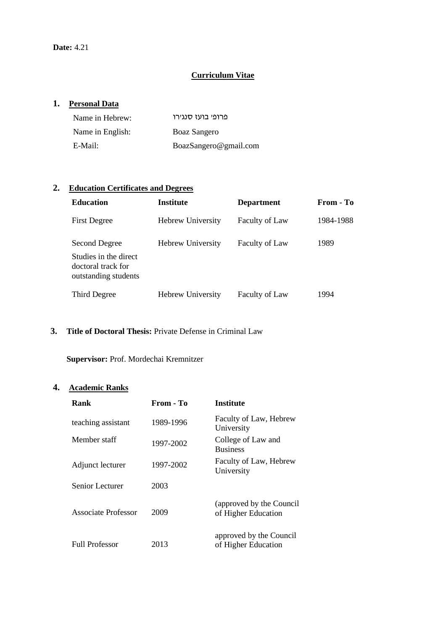# **Curriculum Vitae**

## **1. Personal Data**

| Name in Hebrew:  | פרופי בועז סנגירו     |
|------------------|-----------------------|
| Name in English: | Boaz Sangero          |
| E-Mail:          | BoazSangero@gmail.com |

# **2. Education Certificates and Degrees**

| <b>Education</b>                                                                     | Institute                | <b>Department</b>     | From - To |
|--------------------------------------------------------------------------------------|--------------------------|-----------------------|-----------|
| <b>First Degree</b>                                                                  | <b>Hebrew University</b> | <b>Faculty of Law</b> | 1984-1988 |
| Second Degree<br>Studies in the direct<br>doctoral track for<br>outstanding students | <b>Hebrew University</b> | <b>Faculty of Law</b> | 1989      |
| Third Degree                                                                         | Hebrew University        | <b>Faculty of Law</b> | 1994      |

#### **3. Title of Doctoral Thesis:** Private Defense in Criminal Law

**Supervisor:** Prof. Mordechai Kremnitzer

## **4. Academic Ranks**

| Rank                  | From - To | Institute                                       |
|-----------------------|-----------|-------------------------------------------------|
| teaching assistant    | 1989-1996 | Faculty of Law, Hebrew<br>University            |
| Member staff          | 1997-2002 | College of Law and<br><b>Business</b>           |
| Adjunct lecturer      | 1997-2002 | Faculty of Law, Hebrew<br>University            |
| Senior Lecturer       | 2003      |                                                 |
| Associate Professor   | 2009      | (approved by the Council<br>of Higher Education |
| <b>Full Professor</b> | 2013      | approved by the Council<br>of Higher Education  |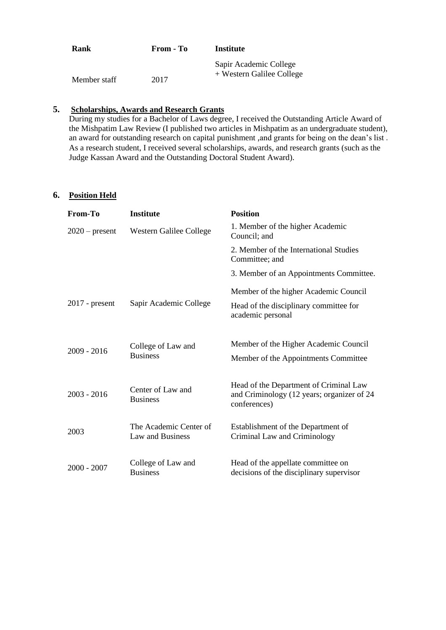| Rank         | From - To | Institute                                           |
|--------------|-----------|-----------------------------------------------------|
| Member staff | 2017      | Sapir Academic College<br>+ Western Galilee College |

## **5. Scholarships, Awards and Research Grants**

During my studies for a Bachelor of Laws degree, I received the Outstanding Article Award of the Mishpatim Law Review (I published two articles in Mishpatim as an undergraduate student), an award for outstanding research on capital punishment ,and grants for being on the dean's list . As a research student, I received several scholarships, awards, and research grants (such as the Judge Kassan Award and the Outstanding Doctoral Student Award).

### **6. Position Held**

| From-To          | <b>Institute</b>                           | <b>Position</b>                                                                                      |
|------------------|--------------------------------------------|------------------------------------------------------------------------------------------------------|
| $2020$ – present | Western Galilee College                    | 1. Member of the higher Academic<br>Council; and                                                     |
|                  |                                            | 2. Member of the International Studies<br>Committee; and                                             |
|                  |                                            | 3. Member of an Appointments Committee.                                                              |
| $2017$ - present | Sapir Academic College                     | Member of the higher Academic Council<br>Head of the disciplinary committee for                      |
|                  |                                            | academic personal                                                                                    |
| 2009 - 2016      | College of Law and                         | Member of the Higher Academic Council                                                                |
|                  | <b>Business</b>                            | Member of the Appointments Committee                                                                 |
| $2003 - 2016$    | Center of Law and<br><b>Business</b>       | Head of the Department of Criminal Law<br>and Criminology (12 years; organizer of 24<br>conferences) |
| 2003             | The Academic Center of<br>Law and Business | Establishment of the Department of<br>Criminal Law and Criminology                                   |
| $2000 - 2007$    | College of Law and<br><b>Business</b>      | Head of the appellate committee on<br>decisions of the disciplinary supervisor                       |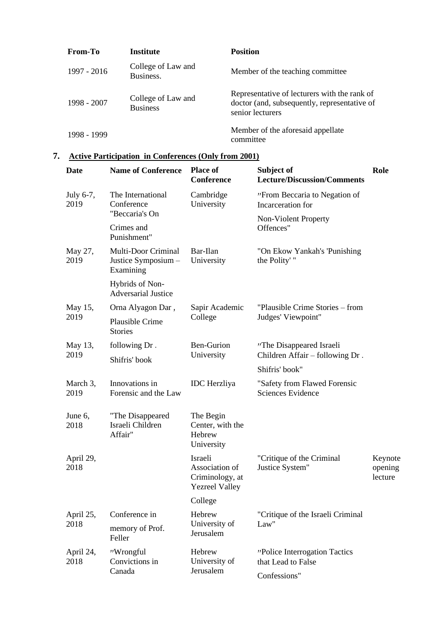| <b>From-To</b> | Institute                             | <b>Position</b>                                                                                                  |
|----------------|---------------------------------------|------------------------------------------------------------------------------------------------------------------|
| 1997 - 2016    | College of Law and<br>Business.       | Member of the teaching committee                                                                                 |
| 1998 - 2007    | College of Law and<br><b>Business</b> | Representative of lecturers with the rank of<br>doctor (and, subsequently, representative of<br>senior lecturers |
| 1998 - 1999    |                                       | Member of the aforesaid appellate<br>committee                                                                   |

# **7. Active Participation in Conferences (Only from 2001)**

| Date              | <b>Name of Conference</b>                               | <b>Place of</b><br>Conference                                         | Subject of<br><b>Lecture/Discussion/Comments</b>         | Role                          |
|-------------------|---------------------------------------------------------|-----------------------------------------------------------------------|----------------------------------------------------------|-------------------------------|
| July 6-7,<br>2019 | The International<br>Conference                         | Cambridge<br>University                                               | "From Beccaria to Negation of<br>Incarceration for       |                               |
|                   | "Beccaria's On                                          |                                                                       | Non-Violent Property                                     |                               |
|                   | Crimes and<br>Punishment"                               |                                                                       | Offences"                                                |                               |
| May 27,<br>2019   | Multi-Door Criminal<br>Justice Symposium -<br>Examining | Bar-Ilan<br>University                                                | "On Ekow Yankah's 'Punishing<br>the Polity'"             |                               |
|                   | Hybrids of Non-<br><b>Adversarial Justice</b>           |                                                                       |                                                          |                               |
| May 15,           | Orna Alyagon Dar,                                       | Sapir Academic                                                        | "Plausible Crime Stories – from                          |                               |
| 2019              | Plausible Crime<br><b>Stories</b>                       | College                                                               | Judges' Viewpoint"                                       |                               |
| May 13,           | following Dr.                                           | Ben-Gurion                                                            | "The Disappeared Israeli                                 |                               |
| 2019              | Shifris' book                                           | University                                                            | Children Affair - following Dr.                          |                               |
|                   |                                                         |                                                                       | Shifris' book"                                           |                               |
| March 3,<br>2019  | Innovations in<br>Forensic and the Law                  | <b>IDC</b> Herzliya                                                   | "Safety from Flawed Forensic<br><b>Sciences Evidence</b> |                               |
| June 6,<br>2018   | "The Disappeared<br>Israeli Children<br>Affair"         | The Begin<br>Center, with the<br>Hebrew<br>University                 |                                                          |                               |
| April 29,<br>2018 |                                                         | Israeli<br>Association of<br>Criminology, at<br><b>Yezreel Valley</b> | "Critique of the Criminal<br>Justice System"             | Keynote<br>opening<br>lecture |
|                   |                                                         | College                                                               |                                                          |                               |
| April 25,         | Conference in                                           | Hebrew                                                                | "Critique of the Israeli Criminal                        |                               |
| 2018              | memory of Prof.<br>Feller                               | University of<br>Jerusalem                                            | Law"                                                     |                               |
| April 24,<br>2018 | "Wrongful<br>Convictions in<br>Canada                   | Hebrew<br>University of<br>Jerusalem                                  | "Police Interrogation Tactics"<br>that Lead to False     |                               |
|                   |                                                         |                                                                       | Confessions"                                             |                               |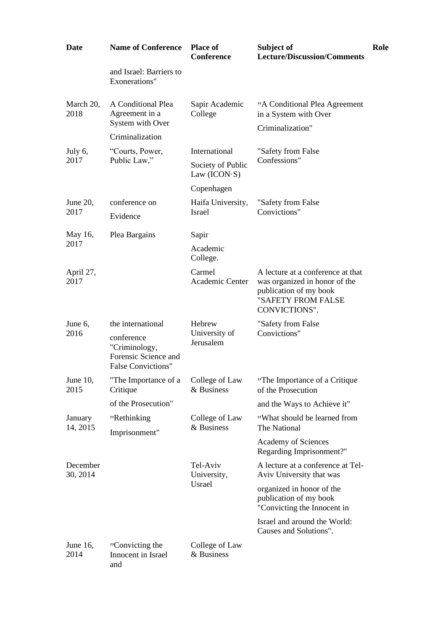| <b>Date</b>          | <b>Name of Conference</b>                                                        | <b>Place of</b><br><b>Conference</b> | Subject of<br><b>Lecture/Discussion/Comments</b>                                                                                    | Role |
|----------------------|----------------------------------------------------------------------------------|--------------------------------------|-------------------------------------------------------------------------------------------------------------------------------------|------|
|                      | and Israel: Barriers to<br>Exonerations"                                         |                                      |                                                                                                                                     |      |
| March 20,<br>2018    | A Conditional Plea<br>Agreement in a                                             | Sapir Academic<br>College            | "A Conditional Plea Agreement<br>in a System with Over                                                                              |      |
|                      | System with Over<br>Criminalization                                              |                                      | Criminalization"                                                                                                                    |      |
| July 6,              |                                                                                  | International                        |                                                                                                                                     |      |
| 2017                 | "Courts, Power,<br>Public Law,"                                                  | Society of Public<br>Law $(ICON-S)$  | "Safety from False<br>Confessions"                                                                                                  |      |
|                      |                                                                                  | Copenhagen                           |                                                                                                                                     |      |
| June 20,             | conference on                                                                    | Haifa University,                    | "Safety from False                                                                                                                  |      |
| 2017                 | Evidence                                                                         | Israel                               | Convictions"                                                                                                                        |      |
| May 16,              | Plea Bargains                                                                    | Sapir                                |                                                                                                                                     |      |
| 2017                 | Academic<br>College.                                                             |                                      |                                                                                                                                     |      |
| April 27,<br>2017    |                                                                                  | Carmel<br>Academic Center            | A lecture at a conference at that<br>was organized in honor of the<br>publication of my book<br>"SAFETY FROM FALSE<br>CONVICTIONS". |      |
| June 6,              | the international                                                                | Hebrew                               | "Safety from False                                                                                                                  |      |
| 2016                 | conference<br>"Criminology,<br>Forensic Science and<br><b>False Convictions"</b> | University of<br>Jerusalem           | Convictions"                                                                                                                        |      |
| June 10,<br>2015     | "The Importance of a<br>Critique                                                 | College of Law<br>& Business         | "The Importance of a Critique<br>of the Prosecution                                                                                 |      |
|                      | of the Prosecution"                                                              |                                      | and the Ways to Achieve it"                                                                                                         |      |
| January<br>14, 2015  | "Rethinking                                                                      | College of Law<br>& Business         | "What should be learned from<br>The National                                                                                        |      |
|                      | Imprisonment"                                                                    |                                      | <b>Academy of Sciences</b><br>Regarding Imprisonment?"                                                                              |      |
| December<br>30, 2014 |                                                                                  | Tel-Aviv<br>University,              | A lecture at a conference at Tel-<br>Aviv University that was                                                                       |      |
|                      |                                                                                  | Usrael                               | organized in honor of the<br>publication of my book<br>"Convicting the Innocent in                                                  |      |
|                      |                                                                                  |                                      | Israel and around the World:<br>Causes and Solutions".                                                                              |      |
| June 16,<br>2014     | "Convicting the<br>Innocent in Israel<br>and                                     | College of Law<br>& Business         |                                                                                                                                     |      |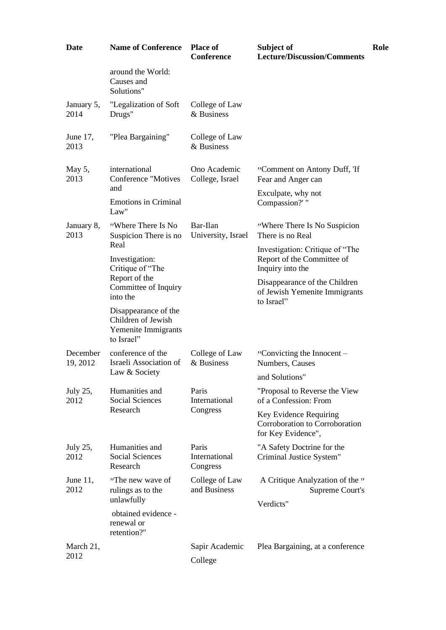| <b>Date</b>          | <b>Name of Conference</b>                                                       | <b>Place of</b><br><b>Conference</b> | Subject of<br>Lecture/Discussion/Comments                                         | Role |
|----------------------|---------------------------------------------------------------------------------|--------------------------------------|-----------------------------------------------------------------------------------|------|
|                      | around the World:<br>Causes and<br>Solutions"                                   |                                      |                                                                                   |      |
| January 5,<br>2014   | "Legalization of Soft<br>Drugs"                                                 | College of Law<br>& Business         |                                                                                   |      |
| June 17,<br>2013     | "Plea Bargaining"                                                               | College of Law<br>& Business         |                                                                                   |      |
| May 5,<br>2013       | international<br>Conference "Motives<br>and                                     | Ono Academic<br>College, Israel      | "Comment on Antony Duff, 'If<br>Fear and Anger can                                |      |
|                      | <b>Emotions in Criminal</b><br>Law"                                             |                                      | Exculpate, why not<br>Compassion?' "                                              |      |
| January 8,<br>2013   | "Where There Is No<br>Suspicion There is no                                     | Bar-Ilan<br>University, Israel       | "Where There Is No Suspicion"<br>There is no Real                                 |      |
|                      | Real<br>Investigation:<br>Critique of "The                                      |                                      | Investigation: Critique of "The<br>Report of the Committee of<br>Inquiry into the |      |
|                      | Report of the<br>Committee of Inquiry<br>into the                               |                                      | Disappearance of the Children<br>of Jewish Yemenite Immigrants<br>to Israel"      |      |
|                      | Disappearance of the<br>Children of Jewish<br>Yemenite Immigrants<br>to Israel" |                                      |                                                                                   |      |
| December<br>19, 2012 | conference of the<br>Israeli Association of<br>Law & Society                    | College of Law<br>& Business         | "Convicting the Innocent $-$<br>Numbers, Causes                                   |      |
|                      |                                                                                 |                                      | and Solutions"                                                                    |      |
| July 25,<br>2012     | Humanities and<br>Social Sciences<br>Research                                   | Paris<br>International<br>Congress   | "Proposal to Reverse the View<br>of a Confession: From                            |      |
|                      |                                                                                 |                                      | Key Evidence Requiring<br>Corroboration to Corroboration<br>for Key Evidence",    |      |
| July 25,<br>2012     | Humanities and<br><b>Social Sciences</b><br>Research                            | Paris<br>International<br>Congress   | "A Safety Doctrine for the<br>Criminal Justice System"                            |      |
| June $11$ ,<br>2012  | "The new wave of<br>rulings as to the<br>unlawfully                             | College of Law<br>and Business       | A Critique Analyzation of the "<br>Supreme Court's                                |      |
|                      | obtained evidence -<br>renewal or<br>retention?"                                |                                      | Verdicts"                                                                         |      |
| March 21,<br>2012    |                                                                                 | Sapir Academic                       | Plea Bargaining, at a conference                                                  |      |
|                      |                                                                                 | College                              |                                                                                   |      |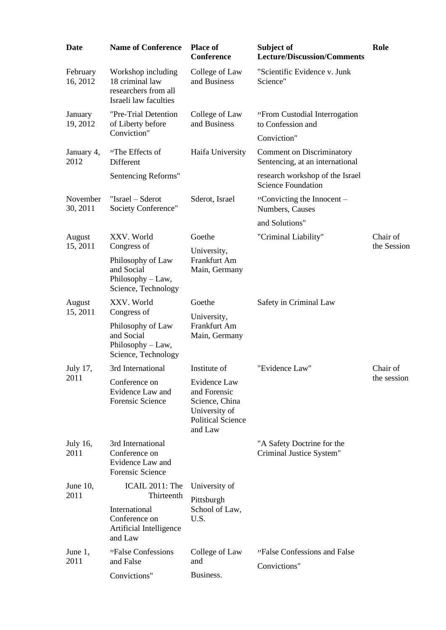| <b>Date</b>          | <b>Name of Conference</b>                                                                  | <b>Place of</b><br><b>Conference</b>                                                                   | Subject of<br><b>Lecture/Discussion/Comments</b>                    | Role        |
|----------------------|--------------------------------------------------------------------------------------------|--------------------------------------------------------------------------------------------------------|---------------------------------------------------------------------|-------------|
| February<br>16, 2012 | Workshop including<br>18 criminal law<br>researchers from all<br>Israeli law faculties     | College of Law<br>and Business                                                                         | "Scientific Evidence v. Junk<br>Science"                            |             |
| January<br>19, 2012  | "Pre-Trial Detention<br>of Liberty before                                                  | College of Law<br>and Business                                                                         | "From Custodial Interrogation<br>to Confession and                  |             |
|                      | Conviction"                                                                                |                                                                                                        | Conviction"                                                         |             |
| January 4,<br>2012   | "The Effects of<br>Different                                                               | Haifa University                                                                                       | <b>Comment on Discriminatory</b><br>Sentencing, at an international |             |
|                      | Sentencing Reforms"                                                                        |                                                                                                        | research workshop of the Israel<br><b>Science Foundation</b>        |             |
| November<br>30, 2011 | "Israel – Sderot<br>Society Conference"                                                    | Sderot, Israel                                                                                         | "Convicting the Innocent $-$<br>Numbers, Causes                     |             |
|                      |                                                                                            |                                                                                                        | and Solutions"                                                      |             |
| August               | XXV. World                                                                                 | Goethe                                                                                                 | "Criminal Liability"                                                | Chair of    |
| 15, 2011             | Congress of<br>Philosophy of Law<br>and Social<br>Philosophy - Law,<br>Science, Technology | University,<br>Frankfurt Am<br>Main, Germany                                                           |                                                                     | the Session |
| August               | XXV. World                                                                                 | Goethe                                                                                                 | Safety in Criminal Law                                              |             |
| 15, 2011             | Congress of<br>Philosophy of Law<br>and Social<br>Philosophy - Law,<br>Science, Technology | University,<br>Frankfurt Am<br>Main, Germany                                                           |                                                                     |             |
| July 17,             | 3rd International                                                                          | Institute of                                                                                           | "Evidence Law"                                                      | Chair of    |
| 2011                 | Conference on<br>Evidence Law and<br>Forensic Science                                      | Evidence Law<br>and Forensic<br>Science, China<br>University of<br><b>Political Science</b><br>and Law |                                                                     | the session |
| July 16,<br>2011     | 3rd International<br>Conference on<br>Evidence Law and<br>Forensic Science                 |                                                                                                        | "A Safety Doctrine for the<br>Criminal Justice System"              |             |
| June $10$ ,          | ICAIL 2011: The                                                                            | University of                                                                                          |                                                                     |             |
| 2011                 | Thirteenth<br>International<br>Conference on<br>Artificial Intelligence<br>and Law         | Pittsburgh<br>School of Law,<br>U.S.                                                                   |                                                                     |             |
| June 1,<br>2011      | "False Confessions<br>and False                                                            | College of Law<br>and                                                                                  | "False Confessions and False                                        |             |
|                      | Convictions"                                                                               | Business.                                                                                              | Convictions"                                                        |             |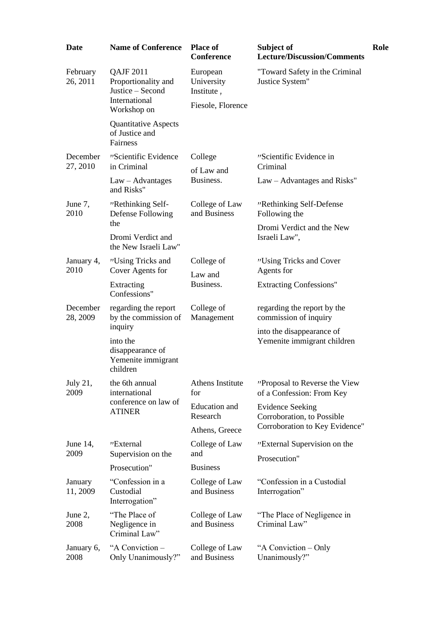| <b>Date</b>          | <b>Name of Conference</b>                                                                   | <b>Place of</b><br>Conference                             | Subject of<br><b>Lecture/Discussion/Comments</b>                                        | Role |
|----------------------|---------------------------------------------------------------------------------------------|-----------------------------------------------------------|-----------------------------------------------------------------------------------------|------|
| February<br>26, 2011 | <b>QAJF 2011</b><br>Proportionality and<br>Justice - Second<br>International<br>Workshop on | European<br>University<br>Institute,<br>Fiesole, Florence | "Toward Safety in the Criminal<br>Justice System"                                       |      |
|                      | <b>Quantitative Aspects</b><br>of Justice and<br>Fairness                                   |                                                           |                                                                                         |      |
| December<br>27, 2010 | "Scientific Evidence<br>in Criminal                                                         | College<br>of Law and                                     | "Scientific Evidence in<br>Criminal                                                     |      |
|                      | $Law - Advantages$<br>and Risks"                                                            | Business.                                                 | Law – Advantages and Risks"                                                             |      |
| June 7,<br>2010      | "Rethinking Self-<br>Defense Following<br>the                                               | College of Law<br>and Business                            | "Rethinking Self-Defense<br>Following the                                               |      |
|                      | Dromi Verdict and<br>the New Israeli Law"                                                   |                                                           | Dromi Verdict and the New<br>Israeli Law",                                              |      |
| January 4,<br>2010   | "Using Tricks and<br>Cover Agents for                                                       | College of<br>Law and<br>Business.                        | "Using Tricks and Cover<br>Agents for                                                   |      |
|                      | Extracting<br>Confessions"                                                                  |                                                           | <b>Extracting Confessions"</b>                                                          |      |
| December<br>28, 2009 | regarding the report<br>by the commission of<br>inquiry                                     | College of<br>Management                                  | regarding the report by the<br>commission of inquiry                                    |      |
|                      | into the<br>disappearance of<br>Yemenite immigrant<br>children                              |                                                           | into the disappearance of<br>Yemenite immigrant children                                |      |
| July 21,<br>2009     | the 6th annual<br>international                                                             | Athens Institute<br>for                                   | "Proposal to Reverse the View<br>of a Confession: From Key                              |      |
|                      | conference on law of<br><b>ATINER</b>                                                       | Education and<br>Research<br>Athens, Greece               | <b>Evidence Seeking</b><br>Corroboration, to Possible<br>Corroboration to Key Evidence" |      |
| June $14$ ,          | "External                                                                                   | College of Law                                            | "External Supervision on the                                                            |      |
| 2009                 | Supervision on the                                                                          | and                                                       | Prosecution"                                                                            |      |
|                      | Prosecution"                                                                                | <b>Business</b>                                           |                                                                                         |      |
| January<br>11, 2009  | "Confession in a<br>Custodial<br>Interrogation"                                             | College of Law<br>and Business                            | "Confession in a Custodial<br>Interrogation"                                            |      |
| June 2,<br>2008      | "The Place of<br>Negligence in<br>Criminal Law"                                             | College of Law<br>and Business                            | "The Place of Negligence in<br>Criminal Law"                                            |      |
| January 6,<br>2008   | "A Conviction -<br>Only Unanimously?"                                                       | College of Law<br>and Business                            | "A Conviction – Only<br>Unanimously?"                                                   |      |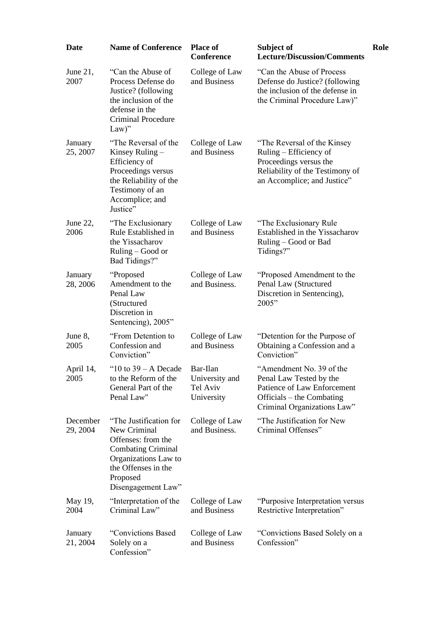| <b>Date</b>          | <b>Name of Conference</b>                                                                                                                                                  | <b>Place of</b><br><b>Conference</b>                 | Subject of<br><b>Lecture/Discussion/Comments</b>                                                                                                   | Role |
|----------------------|----------------------------------------------------------------------------------------------------------------------------------------------------------------------------|------------------------------------------------------|----------------------------------------------------------------------------------------------------------------------------------------------------|------|
| June $21$ ,<br>2007  | "Can the Abuse of<br>Process Defense do<br>Justice? (following<br>the inclusion of the<br>defense in the<br><b>Criminal Procedure</b><br>$Law$ "                           | College of Law<br>and Business                       | "Can the Abuse of Process<br>Defense do Justice? (following<br>the inclusion of the defense in<br>the Criminal Procedure Law)"                     |      |
| January<br>25, 2007  | "The Reversal of the<br>Kinsey Ruling $-$<br>Efficiency of<br>Proceedings versus<br>the Reliability of the<br>Testimony of an<br>Accomplice; and<br>Justice"               | College of Law<br>and Business                       | "The Reversal of the Kinsey"<br>Ruling - Efficiency of<br>Proceedings versus the<br>Reliability of the Testimony of<br>an Accomplice; and Justice" |      |
| June 22,<br>2006     | "The Exclusionary<br>Rule Established in<br>the Yissacharov<br>$Ruling - Good or$<br>Bad Tidings?"                                                                         | College of Law<br>and Business                       | "The Exclusionary Rule<br>Established in the Yissacharov<br>Ruling – Good or Bad<br>Tidings?"                                                      |      |
| January<br>28, 2006  | "Proposed"<br>Amendment to the<br>Penal Law<br>(Structured<br>Discretion in<br>Sentencing), 2005"                                                                          | College of Law<br>and Business.                      | "Proposed Amendment to the<br>Penal Law (Structured<br>Discretion in Sentencing),<br>2005"                                                         |      |
| June 8,<br>2005      | "From Detention to<br>Confession and<br>Conviction"                                                                                                                        | College of Law<br>and Business                       | "Detention for the Purpose of<br>Obtaining a Confession and a<br>Conviction"                                                                       |      |
| April 14,<br>2005    | "10 to $39 - A$ Decade"<br>to the Reform of the<br>General Part of the<br>Penal Law"                                                                                       | Bar-Ilan<br>University and<br>Tel Aviv<br>University | "Amendment No. 39 of the<br>Penal Law Tested by the<br>Patience of Law Enforcement<br>Officials – the Combating<br>Criminal Organizations Law"     |      |
| December<br>29, 2004 | "The Justification for<br>New Criminal<br>Offenses: from the<br><b>Combating Criminal</b><br>Organizations Law to<br>the Offenses in the<br>Proposed<br>Disengagement Law" | College of Law<br>and Business.                      | "The Justification for New<br>Criminal Offenses"                                                                                                   |      |
| May 19,<br>2004      | "Interpretation of the<br>Criminal Law"                                                                                                                                    | College of Law<br>and Business                       | "Purposive Interpretation versus<br>Restrictive Interpretation"                                                                                    |      |
| January<br>21, 2004  | "Convictions Based<br>Solely on a<br>Confession"                                                                                                                           | College of Law<br>and Business                       | "Convictions Based Solely on a<br>Confession"                                                                                                      |      |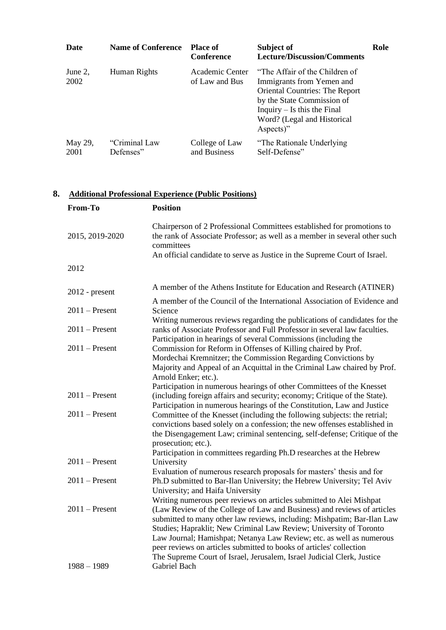| Date            | <b>Name of Conference</b>  | <b>Place of</b><br><b>Conference</b> | Subject of<br><b>Lecture/Discussion/Comments</b>                                                                                                                                                                | Role |
|-----------------|----------------------------|--------------------------------------|-----------------------------------------------------------------------------------------------------------------------------------------------------------------------------------------------------------------|------|
| June 2,<br>2002 | Human Rights               | Academic Center<br>of Law and Bus    | "The Affair of the Children of<br>Immigrants from Yemen and<br><b>Oriental Countries: The Report</b><br>by the State Commission of<br>Inquiry $-$ Is this the Final<br>Word? (Legal and Historical<br>Aspects)" |      |
| May 29,<br>2001 | "Criminal Law<br>Defenses" | College of Law<br>and Business       | "The Rationale Underlying"<br>Self-Defense"                                                                                                                                                                     |      |

# **8. Additional Professional Experience (Public Positions)**

| From-To          | <b>Position</b>                                                                                                                                                                                                                                                                                                                                                                                                                                                                                                          |
|------------------|--------------------------------------------------------------------------------------------------------------------------------------------------------------------------------------------------------------------------------------------------------------------------------------------------------------------------------------------------------------------------------------------------------------------------------------------------------------------------------------------------------------------------|
| 2015, 2019-2020  | Chairperson of 2 Professional Committees established for promotions to<br>the rank of Associate Professor; as well as a member in several other such<br>committees<br>An official candidate to serve as Justice in the Supreme Court of Israel.                                                                                                                                                                                                                                                                          |
| 2012             |                                                                                                                                                                                                                                                                                                                                                                                                                                                                                                                          |
| $2012$ - present | A member of the Athens Institute for Education and Research (ATINER)                                                                                                                                                                                                                                                                                                                                                                                                                                                     |
| $2011$ – Present | A member of the Council of the International Association of Evidence and<br>Science                                                                                                                                                                                                                                                                                                                                                                                                                                      |
| $2011$ – Present | Writing numerous reviews regarding the publications of candidates for the<br>ranks of Associate Professor and Full Professor in several law faculties.<br>Participation in hearings of several Commissions (including the                                                                                                                                                                                                                                                                                                |
| $2011$ – Present | Commission for Reform in Offenses of Killing chaired by Prof.<br>Mordechai Kremnitzer; the Commission Regarding Convictions by<br>Majority and Appeal of an Acquittal in the Criminal Law chaired by Prof.<br>Arnold Enker; etc.).                                                                                                                                                                                                                                                                                       |
| $2011$ – Present | Participation in numerous hearings of other Committees of the Knesset<br>(including foreign affairs and security; economy; Critique of the State).<br>Participation in numerous hearings of the Constitution, Law and Justice                                                                                                                                                                                                                                                                                            |
| $2011$ – Present | Committee of the Knesset (including the following subjects: the retrial;<br>convictions based solely on a confession; the new offenses established in<br>the Disengagement Law; criminal sentencing, self-defense; Critique of the<br>prosecution; etc.).<br>Participation in committees regarding Ph.D researches at the Hebrew                                                                                                                                                                                         |
| $2011$ – Present | University                                                                                                                                                                                                                                                                                                                                                                                                                                                                                                               |
| $2011$ – Present | Evaluation of numerous research proposals for masters' thesis and for<br>Ph.D submitted to Bar-Ilan University; the Hebrew University; Tel Aviv<br>University; and Haifa University                                                                                                                                                                                                                                                                                                                                      |
| $2011$ – Present | Writing numerous peer reviews on articles submitted to Alei Mishpat<br>(Law Review of the College of Law and Business) and reviews of articles<br>submitted to many other law reviews, including: Mishpatim; Bar-Ilan Law<br>Studies; Hapraklit; New Criminal Law Review; University of Toronto<br>Law Journal; Hamishpat; Netanya Law Review; etc. as well as numerous<br>peer reviews on articles submitted to books of articles' collection<br>The Supreme Court of Israel, Jerusalem, Israel Judicial Clerk, Justice |
| $1988 - 1989$    | Gabriel Bach                                                                                                                                                                                                                                                                                                                                                                                                                                                                                                             |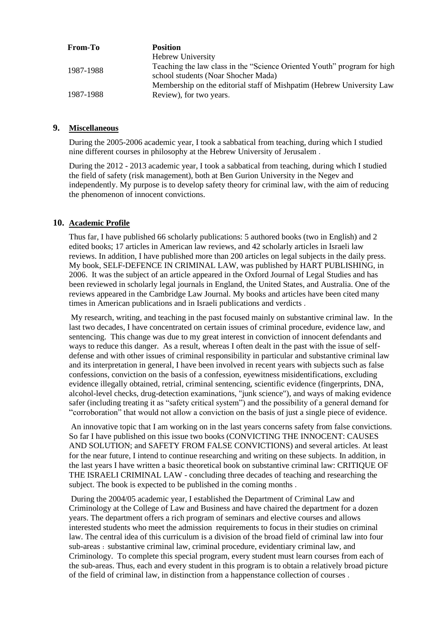| From-To   | <b>Position</b>                                                                                                |
|-----------|----------------------------------------------------------------------------------------------------------------|
|           | <b>Hebrew University</b>                                                                                       |
| 1987-1988 | Teaching the law class in the "Science Oriented Youth" program for high<br>school students (Noar Shocher Mada) |
| 1987-1988 | Membership on the editorial staff of Mishpatim (Hebrew University Law<br>Review), for two years.               |

#### **9. Miscellaneous**

During the 2005-2006 academic year, I took a sabbatical from teaching, during which I studied nine different courses in philosophy at the Hebrew University of Jerusalem .

During the 2012 - 2013 academic year, I took a sabbatical from teaching, during which I studied the field of safety (risk management), both at Ben Gurion University in the Negev and independently. My purpose is to develop safety theory for criminal law, with the aim of reducing the phenomenon of innocent convictions.

#### **10. Academic Profile**

Thus far, I have published 66 scholarly publications: 5 authored books (two in English) and 2 edited books; 17 articles in American law reviews, and 42 scholarly articles in Israeli law reviews. In addition, I have published more than 200 articles on legal subjects in the daily press. My book, SELF-DEFENCE IN CRIMINAL LAW, was published by HART PUBLISHING, in 2006. It was the subject of an article appeared in the Oxford Journal of Legal Studies and has been reviewed in scholarly legal journals in England, the United States, and Australia. One of the reviews appeared in the Cambridge Law Journal. My books and articles have been cited many times in American publications and in Israeli publications and verdicts .

My research, writing, and teaching in the past focused mainly on substantive criminal law. In the last two decades, I have concentrated on certain issues of criminal procedure, evidence law, and sentencing. This change was due to my great interest in conviction of innocent defendants and ways to reduce this danger. As a result, whereas I often dealt in the past with the issue of selfdefense and with other issues of criminal responsibility in particular and substantive criminal law and its interpretation in general, I have been involved in recent years with subjects such as false confessions, conviction on the basis of a confession, eyewitness misidentifications, excluding evidence illegally obtained, retrial, criminal sentencing, scientific evidence (fingerprints, DNA, alcohol-level checks, drug-detection examinations, "junk science"), and ways of making evidence safer (including treating it as "safety critical system") and the possibility of a general demand for "corroboration" that would not allow a conviction on the basis of just a single piece of evidence.

An innovative topic that I am working on in the last years concerns safety from false convictions. So far I have published on this issue two books (CONVICTING THE INNOCENT: CAUSES AND SOLUTION; and SAFETY FROM FALSE CONVICTIONS) and several articles. At least for the near future, I intend to continue researching and writing on these subjects. In addition, in the last years I have written a basic theoretical book on substantive criminal law: CRITIQUE OF THE ISRAELI CRIMINAL LAW - concluding three decades of teaching and researching the subject. The book is expected to be published in the coming months .

During the 2004/05 academic year, I established the Department of Criminal Law and Criminology at the College of Law and Business and have chaired the department for a dozen years. The department offers a rich program of seminars and elective courses and allows interested students who meet the admission requirements to focus in their studies on criminal law. The central idea of this curriculum is a division of the broad field of criminal law into four sub-areas : substantive criminal law, criminal procedure, evidentiary criminal law, and Criminology. To complete this special program, every student must learn courses from each of the sub-areas. Thus, each and every student in this program is to obtain a relatively broad picture of the field of criminal law, in distinction from a happenstance collection of courses .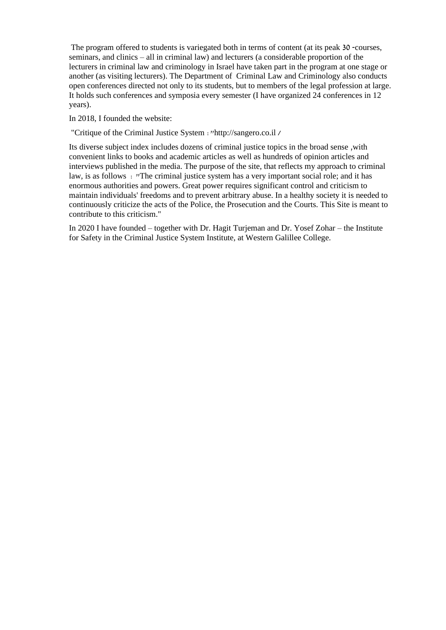The program offered to students is variegated both in terms of content (at its peak 30 -courses, seminars, and clinics – all in criminal law) and lecturers (a considerable proportion of the lecturers in criminal law and criminology in Israel have taken part in the program at one stage or another (as visiting lecturers). The Department of Criminal Law and Criminology also conducts open conferences directed not only to its students, but to members of the legal profession at large. It holds such conferences and symposia every semester (I have organized 24 conferences in 12 years).

In 2018, I founded the website:

"Critique of the Criminal Justice System :"http://sangero.co.il /

Its diverse subject index includes dozens of criminal justice topics in the broad sense ,with convenient links to books and academic articles as well as hundreds of opinion articles and interviews published in the media. The purpose of the site, that reflects my approach to criminal law, is as follows : "The criminal justice system has a very important social role; and it has enormous authorities and powers. Great power requires significant control and criticism to maintain individuals' freedoms and to prevent arbitrary abuse. In a healthy society it is needed to continuously criticize the acts of the Police, the Prosecution and the Courts. This Site is meant to contribute to this criticism."

In 2020 I have founded – together with Dr. Hagit Turjeman and Dr. Yosef Zohar – the Institute for Safety in the Criminal Justice System Institute, at Western Galillee College.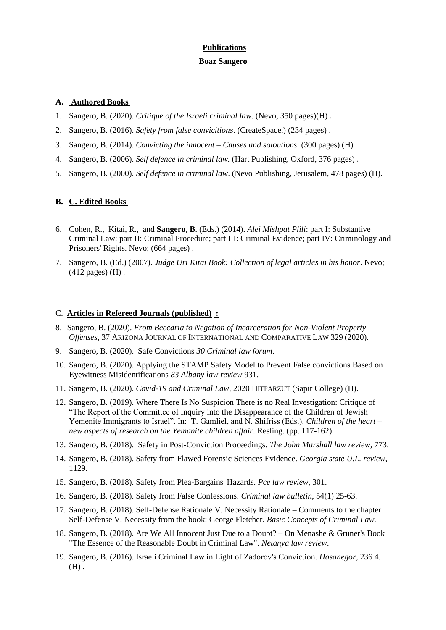# **Publications**

## **Boaz Sangero**

## **A. Authored Books**

- 1. Sangero, B. (2020). *Critique of the Israeli criminal law*. (Nevo, 350 pages)(H) .
- 2. Sangero, B. (2016). *Safety from false convicitions*. (CreateSpace,) (234 pages) .
- 3. Sangero, B. (2014). *Convicting the innocent – Causes and soloutions*. (300 pages) (H) .
- 4. Sangero, B. (2006). *Self defence in criminal law.* (Hart Publishing, Oxford, 376 pages) .
- 5. Sangero, B. (2000). *Self defence in criminal law*. (Nevo Publishing, Jerusalem, 478 pages) (H).

## **B. C. Edited Books**

- 6. Cohen, R., Kitai, R., and **Sangero, B**. (Eds.) (2014). *Alei Mishpat Plili*: part I: Substantive Criminal Law; part II: Criminal Procedure; part III: Criminal Evidence; part IV: Criminology and Prisoners' Rights. Nevo; (664 pages) .
- 7. Sangero, B. (Ed.) (2007). *Judge Uri Kitai Book: Collection of legal articles in his honor*. Nevo; (412 pages) (H) .

## C. **Articles in Refereed Journals (published) :**

- 8. Sangero, B. (2020). *From Beccaria to Negation of Incarceration for Non-Violent Property Offenses*, 37 ARIZONA JOURNAL OF INTERNATIONAL AND COMPARATIVE LAW 329 (2020).
- 9. Sangero, B. (2020). Safe Convictions *30 Criminal law forum*.
- 10. Sangero, B. (2020). Applying the STAMP Safety Model to Prevent False convictions Based on Eyewitness Misidentifications *83 Albany law review* 931.
- 11. Sangero, B. (2020). *Covid-19 and Criminal Law*, 2020 HITPARZUT (Sapir College) (H).
- 12. Sangero, B. (2019). Where There Is No Suspicion There is no Real Investigation: Critique of "The Report of the Committee of Inquiry into the Disappearance of the Children of Jewish Yemenite Immigrants to Israel". In: T. Gamliel, and N. Shifriss (Eds.). *Children of the heart – new aspects of research on the Yemanite children affair*. Resling. (pp. 117-162).
- 13. Sangero, B. (2018). Safety in Post-Conviction Proceedings. *The John Marshall law review*, 773.
- 14. Sangero, B. (2018). Safety from Flawed Forensic Sciences Evidence. *Georgia state U.L. review,* 1129.
- 15. Sangero, B. (2018). Safety from Plea-Bargains' Hazards. *Pce law review,* 301.
- 16. Sangero, B. (2018). Safety from False Confessions. *Criminal law bulletin*, 54(1) 25-63.
- 17. Sangero, B. (2018). Self-Defense Rationale V. Necessity Rationale Comments to the chapter Self-Defense V. Necessity from the book: George Fletcher. *Basic Concepts of Criminal Law.*
- 18. Sangero, B. (2018). Are We All Innocent Just Due to a Doubt? On Menashe & Gruner's Book "The Essence of the Reasonable Doubt in Criminal Law". *Netanya law review*.
- 19. Sangero, B. (2016). Israeli Criminal Law in Light of Zadorov's Conviction. *Hasanegor,* 236 4.  $(H)$ .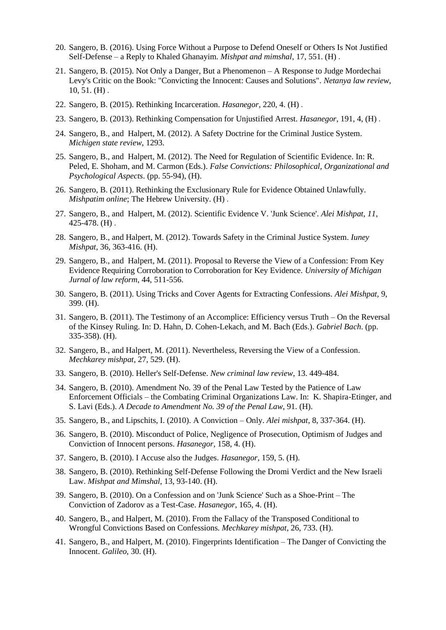- 20. Sangero, B. (2016). Using Force Without a Purpose to Defend Oneself or Others Is Not Justified Self-Defense – a Reply to Khaled Ghanayim. *Mishpat and mimshal*, 17, 551. (H) .
- 21. Sangero, B. (2015). Not Only a Danger, But a Phenomenon A Response to Judge Mordechai Levy's Critic on the Book: "Convicting the Innocent: Causes and Solutions". *Netanya law review*, 10, 51. (H) .
- 22. Sangero, B. (2015). Rethinking Incarceration. *Hasanegor,* 220, 4. (H) .
- 23. Sangero, B. (2013). Rethinking Compensation for Unjustified Arrest. *Hasanegor,* 191, 4, (H) .
- 24. Sangero, B., and Halpert, M. (2012). A Safety Doctrine for the Criminal Justice System. *Michigen state review*, 1293.
- 25. Sangero, B., and Halpert, M. (2012). The Need for Regulation of Scientific Evidence. In: R. Peled, E. Shoham, and M. Carmon (Eds.). *False Convictions: Philosophical, Organizational and Psychological Aspects*. (pp. 55-94), (H).
- 26. Sangero, B. (2011). Rethinking the Exclusionary Rule for Evidence Obtained Unlawfully. *Mishpatim online*; The Hebrew University. (H) .
- 27. Sangero, B., and Halpert, M. (2012). Scientific Evidence V. 'Junk Science'. *Alei Mishpat, 11*, 425-478. (H) .
- 28. Sangero, B., and Halpert, M. (2012). Towards Safety in the Criminal Justice System. *Iuney Mishpat*, 36, 363-416. (H).
- 29. Sangero, B., and Halpert, M. (2011). Proposal to Reverse the View of a Confession: From Key Evidence Requiring Corroboration to Corroboration for Key Evidence. *University of Michigan Jurnal of law reform*, 44, 511-556.
- 30. Sangero, B. (2011). Using Tricks and Cover Agents for Extracting Confessions. *Alei Mishpat,* 9, 399. (H).
- 31. Sangero, B. (2011). The Testimony of an Accomplice: Efficiency versus Truth On the Reversal of the Kinsey Ruling. In: D. Hahn, D. Cohen-Lekach, and M. Bach (Eds.). *Gabriel Bach*. (pp. 335-358). (H).
- 32. Sangero, B., and Halpert, M. (2011). Nevertheless, Reversing the View of a Confession. *Mechkarey mishpat*, 27, 529. (H).
- 33. Sangero, B. (2010). Heller's Self-Defense. *New criminal law review*, 13. 449-484.
- 34. Sangero, B. (2010). Amendment No. 39 of the Penal Law Tested by the Patience of Law Enforcement Officials – the Combating Criminal Organizations Law. In: K. Shapira-Etinger, and S. Lavi (Eds.). *A Decade to Amendment No. 39 of the Penal Law*, 91. (H).
- 35. Sangero, B., and Lipschits, I. (2010). A Conviction Only. *Alei mishpat*, 8, 337-364. (H).
- 36. Sangero, B. (2010). Misconduct of Police, Negligence of Prosecution, Optimism of Judges and Conviction of Innocent persons. *Hasanegor,* 158, 4. (H).
- 37. Sangero, B. (2010). I Accuse also the Judges. *Hasanegor,* 159, 5. (H).
- 38. Sangero, B. (2010). Rethinking Self-Defense Following the Dromi Verdict and the New Israeli Law. *Mishpat and Mimshal*, 13, 93-140. (H).
- 39. Sangero, B. (2010). On a Confession and on 'Junk Science' Such as a Shoe-Print The Conviction of Zadorov as a Test-Case. *Hasanegor*, 165, 4. (H).
- 40. Sangero, B., and Halpert, M. (2010). From the Fallacy of the Transposed Conditional to Wrongful Convictions Based on Confessions. *Mechkarey mishpat*, 26, 733. (H).
- 41. Sangero, B., and Halpert, M. (2010). Fingerprints Identification The Danger of Convicting the Innocent. *Galileo*, 30. (H).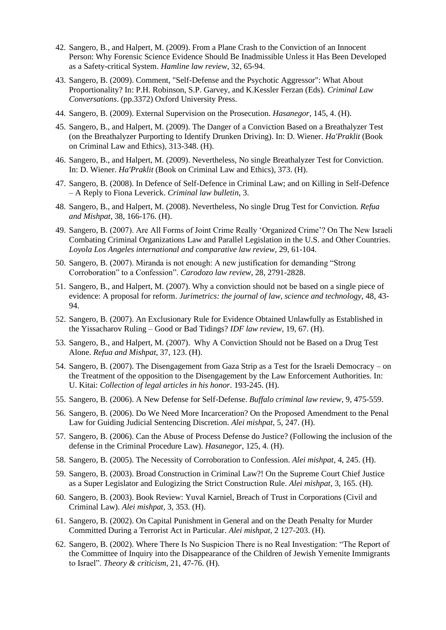- 42. Sangero, B., and Halpert, M. (2009). From a Plane Crash to the Conviction of an Innocent Person: Why Forensic Science Evidence Should Be Inadmissible Unless it Has Been Developed as a Safety-critical System. *Hamline law review*, 32, 65-94.
- 43. Sangero, B. (2009). Comment, "Self-Defense and the Psychotic Aggressor": What About Proportionality? In: P.H. Robinson, S.P. Garvey, and K.Kessler Ferzan (Eds). *Criminal Law Conversations*. (pp.3372) Oxford University Press.
- 44. Sangero, B. (2009). External Supervision on the Prosecution. *Hasanegor*, 145, 4. (H).
- 45. Sangero, B., and Halpert, M. (2009). The Danger of a Conviction Based on a Breathalyzer Test (on the Breathalyzer Purporting to Identify Drunken Driving). In: D. Wiener. *Ha'Praklit* (Book on Criminal Law and Ethics), 313-348. (H).
- 46. Sangero, B., and Halpert, M. (2009). Nevertheless, No single Breathalyzer Test for Conviction. In: D. Wiener. *Ha'Praklit* (Book on Criminal Law and Ethics), 373. (H).
- 47. Sangero, B. (2008). In Defence of Self-Defence in Criminal Law; and on Killing in Self-Defence – A Reply to Fiona Leverick. *Criminal law bulletin*, 3.
- 48. Sangero, B., and Halpert, M. (2008). Nevertheless, No single Drug Test for Conviction*. Refua and Mishpat*, 38, 166-176. (H).
- 49. Sangero, B. (2007). Are All Forms of Joint Crime Really 'Organized Crime'? On The New Israeli Combating Criminal Organizations Law and Parallel Legislation in the U.S. and Other Countries. *Loyola Los Angeles international and comparative law review*, 29, 61-104.
- 50. Sangero, B. (2007). Miranda is not enough: A new justification for demanding "Strong Corroboration" to a Confession". *Carodozo law review*, 28, 2791-2828.
- 51. Sangero, B., and Halpert, M. (2007). Why a conviction should not be based on a single piece of evidence: A proposal for reform. *Jurimetrics: the journal of law, science and technology,* 48, 43- 94.
- 52. Sangero, B. (2007). An Exclusionary Rule for Evidence Obtained Unlawfully as Established in the Yissacharov Ruling – Good or Bad Tidings? *IDF law review*, 19, 67. (H).
- 53. Sangero, B., and Halpert, M. (2007). Why A Conviction Should not be Based on a Drug Test Alone. *Refua and Mishpat*, 37, 123. (H).
- 54. Sangero, B. (2007). The Disengagement from Gaza Strip as a Test for the Israeli Democracy on the Treatment of the opposition to the Disengagement by the Law Enforcement Authorities. In: U. Kitai: *Collection of legal articles in his honor*. 193-245. (H).
- 55. Sangero, B. (2006). A New Defense for Self-Defense. *Buffalo criminal law review*, 9, 475-559.
- 56. Sangero, B. (2006). Do We Need More Incarceration? On the Proposed Amendment to the Penal Law for Guiding Judicial Sentencing Discretion. *Alei mishpat*, 5, 247. (H).
- 57. Sangero, B. (2006). Can the Abuse of Process Defense do Justice? (Following the inclusion of the defense in the Criminal Procedure Law). *Hasanegor*, 125, 4. (H).
- 58. Sangero, B. (2005). The Necessity of Corroboration to Confession. *Alei mishpat*, 4, 245. (H).
- 59. Sangero, B. (2003). Broad Construction in Criminal Law?! On the Supreme Court Chief Justice as a Super Legislator and Eulogizing the Strict Construction Rule. *Alei mishpat*, 3, 165. (H).
- 60. Sangero, B. (2003). Book Review: Yuval Karniel, Breach of Trust in Corporations (Civil and Criminal Law). *Alei mishpat*, 3, 353. (H).
- 61. Sangero, B. (2002). On Capital Punishment in General and on the Death Penalty for Murder Committed During a Terrorist Act in Particular. *Alei mishpat*, 2 127-203. (H).
- 62. Sangero, B. (2002). Where There Is No Suspicion There is no Real Investigation: "The Report of the Committee of Inquiry into the Disappearance of the Children of Jewish Yemenite Immigrants to Israel". *Theory & criticism*, 21, 47-76. (H).